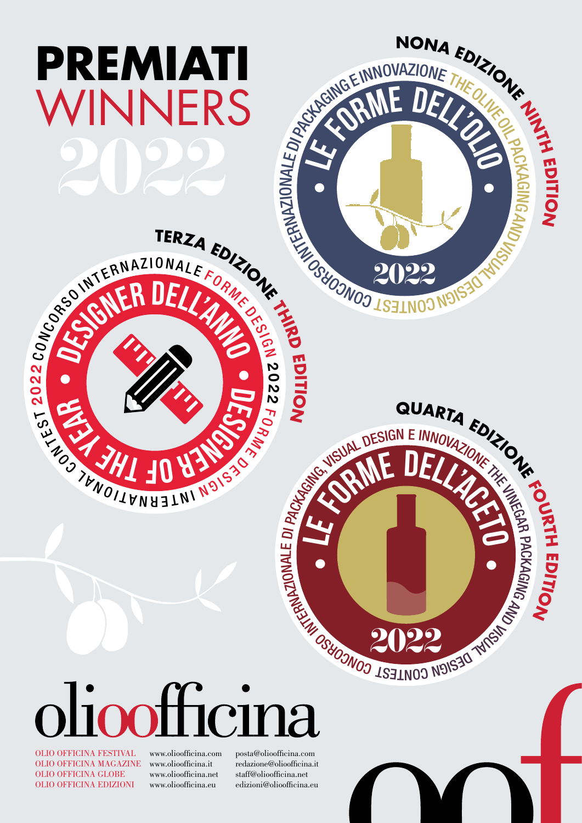

OLIO OFFICINA FESTIVAL www.olioofficina.com posta@olioofficina.com OLIO OFFICINA MAGAZINE OLIO OFFICINA GLOBE www.olioofficina.net staff@olioofficina.net OLIO OFFICINA EDIZIONI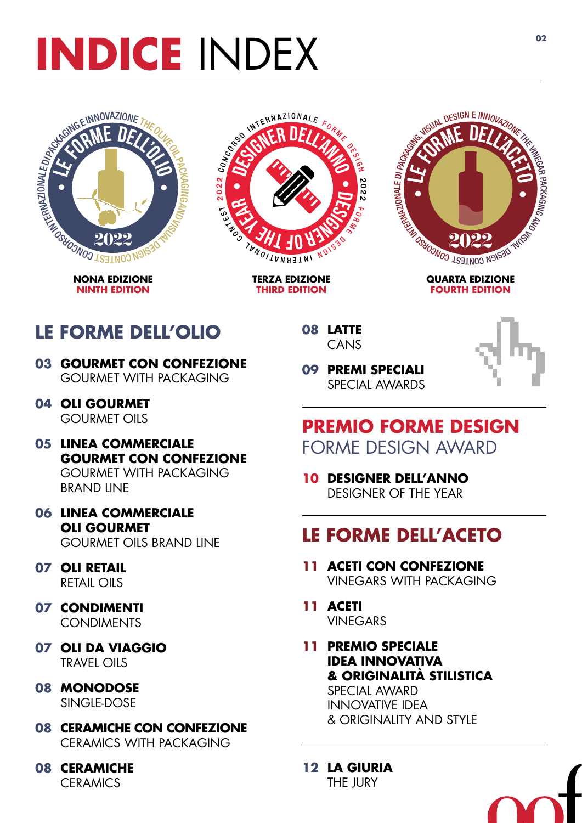# <span id="page-1-0"></span>**INDICE** INDEX **<sup>02</sup>**



**NONA EDIZIONE NINTH EDITION**



**TERZA EDIZIONE THIRD EDITION**



**QUARTA EDIZIONE FOURTH EDITION**

### **LE FORME DELL'OLIO**

- **03 [GOURMET CON CONFEZIONE](#page-2-0)** GOURMET WITH PACKAGING
- **04 [OLI GOURMET](#page-3-0)**  GOURMET OILS
- **05 LINEA COMMERCIALE [GOURMET CON CONFEZIONE](#page-4-0)** GOURMET WITH PACKAGING BRAND LINE
- **06 LINEA COMMERCIALE OLI GOURMET** [GOURMET OILS BRAND LINE](#page-5-0)
- **07 [OLI RETAIL](#page-6-0)**  RETAIL OILS
- **07 [CONDIMENTI](#page-6-0) CONDIMENTS**
- **07 [OLI DA VIAGGIO](#page-6-0)** TRAVEL OILS
- **08 [MONODOSE](#page-7-0)** SINGLE-DOSE
- **08 [CERAMICHE CON CONFEZIONE](#page-7-0)** CERAMICS WITH PACKAGING
- **08 [CERAMICHE](#page-7-0)  CERAMICS**

**08 [LATTE](#page-7-0)** CANS



**09 PREMI SPECIALI** [SPECIAL AWARDS](#page-8-0)

### **PREMIO FORME DESIGN** FORME DESIGN AWARD

**10 [DESIGNER DELL'ANNO](#page-9-0)** DESIGNER OF THE YEAR

### **LE FORME DELL'ACETO**

- **11 ACETI CON CONFEZIONE**  [VINEGARS WITH PACKAGING](#page-10-0)
- **11 ACETI** [VINEGARS](#page-10-0)
- **11 PREMIO SPECIALE IDEA INNOVATIVA [& ORIGINALITÀ STILISTICA](#page-10-0)** SPECIAL AWARD INNOVATIVE IDEA & ORIGINALITY AND STYLE
- **12 [LA GIURIA](#page-11-0)** THE JURY

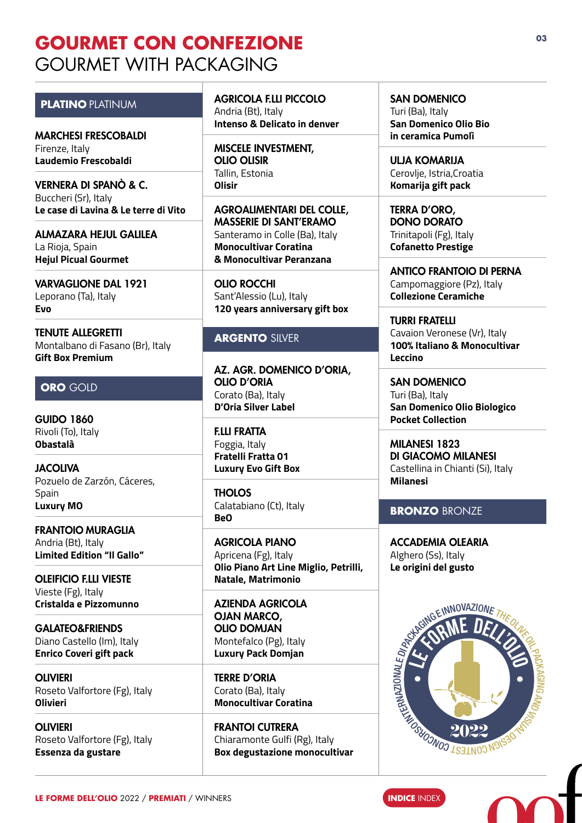### <span id="page-2-0"></span>**GOURMET CON CONFEZIONE** GOURMET WITH PACKAGING

#### **PLATINO** PLATINUM

MARCHESI FRESCOBALDI Firenze, Italy **Laudemio Frescobaldi**

VERNERA DI SPANÒ & C. Buccheri (Sr), Italy **Le case di Lavina & Le terre di Vito** 

ALMAZARA HEJUL GALILEA La Rioja, Spain **Hejul Picual Gourmet**

VARVAGLIONE DAL 1921 Leporano (Ta), Italy **Evo**

TENUTE ALLEGRETTI Montalbano di Fasano (Br), Italy **Gift Box Premium**

#### **ORO** GOLD

GUIDO 1860 Rivoli (To), Italy **Obastalà**

**JACOLIVA** Pozuelo de Zarzón, Cáceres, Spain **Luxury MO**

FRANTOIO MURAGLIA Andria (Bt), Italy **Limited Edition "Il Gallo"**

OLEIFICIO F.LLI VIESTE Vieste (Fg), Italy **Cristalda e Pizzomunno**

GALATEO&FRIENDS Diano Castello (Im), Italy **Enrico Coveri gift pack**

OLIVIERI Roseto Valfortore (Fg), Italy **Olivieri**

OLIVIERI Roseto Valfortore (Fg), Italy **Essenza da gustare**

AGRICOLA F.LLI PICCOLO Andria (Bt), Italy **Intenso & Delicato in denver**

MISCELE INVESTMENT, OLIO OLISIR Tallin, Estonia **Olisir**

AGROALIMENTARI DEL COLLE, MASSERIE DI SANT'ERAMO Santeramo in Colle (Ba), Italy **Monocultivar Coratina & Monocultivar Peranzana**

OLIO ROCCHI Sant'Alessio (Lu), Italy **120 years anniversary gift box**

#### **ARGENTO** SILVER

AZ. AGR. DOMENICO D'ORIA, OLIO D'ORIA Corato (Ba), Italy **D'Oria Silver Label**

F.LLI FRATTA Foggia, Italy **Fratelli Fratta 01 Luxury Evo Gift Box**

**THOLOS** Calatabiano (Ct), Italy **BeO**

AGRICOLA PIANO Apricena (Fg), Italy **Olio Piano Art Line Miglio, Petrilli, Natale, Matrimonio**

AZIENDA AGRICOLA OJAN MARCO, OLIO DOMJAN Montefalco (Pg), Italy **Luxury Pack Domjan**

TERRE D'ORIA Corato (Ba), Italy **Monocultivar Coratina**

FRANTOI CUTRERA Chiaramonte Gulfi (Rg), Italy **Box degustazione monocultivar**

#### SAN DOMENICO

Turi (Ba), Italy **San Domenico Olio Bio in ceramica Pumolì**

ULJA KOMARIJA Cerovlje, Istria,Croatia **Komarija gift pack**

TERRA D'ORO, DONO DORATO Trinitapoli (Fg), Italy **Cofanetto Prestige**

ANTICO FRANTOIO DI PERNA Campomaggiore (Pz), Italy **Collezione Ceramiche**

TURRI FRATELLI Cavaion Veronese (Vr), Italy **100% Italiano & Monocultivar Leccino**

SAN DOMENICO Turi (Ba), Italy **San Domenico Olio Biologico Pocket Collection**

MILANESI 1823 DI GIACOMO MILANESI Castellina in Chianti (Si), Italy **Milanesi** 

#### **BRONZO** BRONZE

ACCADEMIA OLEARIA Alghero (Ss), Italy **Le origini del gusto**

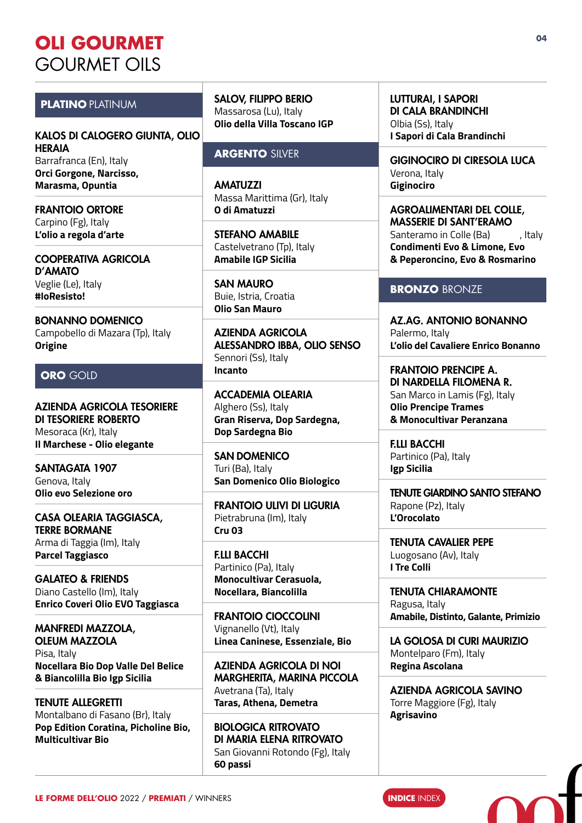### <span id="page-3-0"></span>**OLI GOURMET** GOURMET OILS

#### **PLATINO** PLATINUM

KALOS DI CALOGERO GIUNTA, OLIO HERAIA Barrafranca (En), Italy **Orci Gorgone, Narcisso, Marasma, Opuntia**

FRANTOIO ORTORE Carpino (Fg), Italy **L'olio a regola d'arte**

COOPERATIVA AGRICOLA D'AMATO Veglie (Le), Italy **#IoResisto!**

BONANNO DOMENICO Campobello di Mazara (Tp), Italy **Origine**

#### **ORO** GOLD

AZIENDA AGRICOLA TESORIERE DI TESORIERE ROBERTO Mesoraca (Kr), Italy **Il Marchese - Olio elegante**

SANTAGATA 1907 Genova, Italy **Olio evo Selezione oro**

CASA OLEARIA TAGGIASCA, TERRE BORMANE Arma di Taggia (Im), Italy **Parcel Taggiasco**

GALATEO & FRIENDS Diano Castello (Im), Italy **Enrico Coveri Olio EVO Taggiasca**

MANFREDI MAZZOLA, OLEUM MAZZOLA Pisa, Italy **Nocellara Bio Dop Valle Del Belice & Biancolilla Bio Igp Sicilia**

TENUTE ALLEGRETTI Montalbano di Fasano (Br), Italy **Pop Edition Coratina, Picholine Bio, Multicultivar Bio**

SALOV, FILIPPO BERIO Massarosa (Lu), Italy **Olio della Villa Toscano IGP**

#### **ARGENTO** SILVER

**AMATUZZI** Massa Marittima (Gr), Italy **O di Amatuzzi**

STEFANO AMABILE Castelvetrano (Tp), Italy **Amabile IGP Sicilia**

SAN MAURO Buie, Istria, Croatia **Olio San Mauro**

AZIENDA AGRICOLA ALESSANDRO IBBA, OLIO SENSO Sennori (Ss), Italy **Incanto**

ACCADEMIA OLEARIA Alghero (Ss), Italy **Gran Riserva, Dop Sardegna, Dop Sardegna Bio**

SAN DOMENICO Turi (Ba), Italy **San Domenico Olio Biologico**

FRANTOIO ULIVI DI LIGURIA Pietrabruna (Im), Italy **Cru 03**

F.LLI BACCHI Partinico (Pa), Italy **Monocultivar Cerasuola, Nocellara, Biancolilla**

FRANTOIO CIOCCOLINI Vignanello (Vt), Italy **Linea Caninese, Essenziale, Bio**

AZIENDA AGRICOLA DI NOI MARGHERITA, MARINA PICCOLA Avetrana (Ta), Italy **Taras, Athena, Demetra**

BIOLOGICA RITROVATO DI MARIA ELENA RITROVATO San Giovanni Rotondo (Fg), Italy **60 passi**

LUTTURAI, I SAPORI DI CALA BRANDINCHI Olbia (Ss), Italy **I Sapori di Cala Brandinchi**

GIGINOCIRO DI CIRESOLA LUCA Verona, Italy **Giginociro**

AGROALIMENTARI DEL COLLE, MASSERIE DI SANT'ERAMO Santeramo in Colle (Ba) [, Italy **Condimenti Evo & Limone, Evo & Peperoncino, Evo & Rosmarino**

#### **BRONZO** BRONZE

AZ.AG. ANTONIO BONANNO Palermo, Italy **L'olio del Cavaliere Enrico Bonanno**

FRANTOIO PRENCIPE A. DI NARDELLA FILOMENA R. San Marco in Lamis (Fg), Italy **Olio Prencipe Trames & Monocultivar Peranzana**

F.LLI BACCHI Partinico (Pa), Italy **Igp Sicilia** 

TENUTE GIARDINO SANTO STEFANO Rapone (Pz), Italy **L'Orocolato**

TENUTA CAVALIER PEPE Luogosano (Av), Italy **I Tre Colli**

TENUTA CHIARAMONTE Ragusa, Italy **Amabile, Distinto, Galante, Primizio**

LA GOLOSA DI CURI MAURIZIO Montelparo (Fm), Italy **Regina Ascolana**

AZIENDA AGRICOLA SAVINO Torre Maggiore (Fg), Italy **Agrisavino**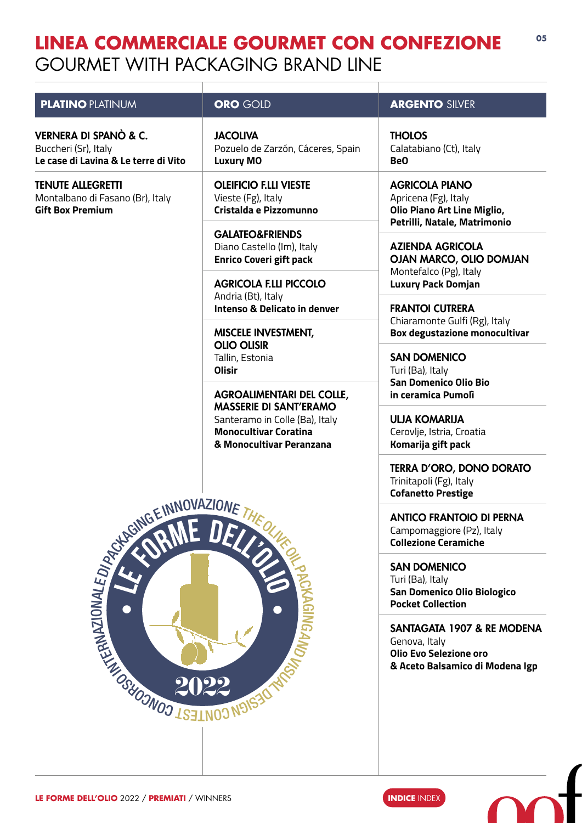### <span id="page-4-0"></span>**LINEA COMMERCIALE GOURMET CON CONFEZIONE** GOURMET WITH PACKAGING BRAND LINE

**05**

| <b>PLATINO PLATINUM</b>                                                                                                                                                                                                              | <b>ORO GOLD</b>                                                                                                                                                 | <b>ARGENTO SILVER</b>                                                                                        |
|--------------------------------------------------------------------------------------------------------------------------------------------------------------------------------------------------------------------------------------|-----------------------------------------------------------------------------------------------------------------------------------------------------------------|--------------------------------------------------------------------------------------------------------------|
| VERNERA DI SPANÒ & C.<br>Buccheri (Sr), Italy<br>Le case di Lavina & Le terre di Vito                                                                                                                                                | <b>JACOLIVA</b><br>Pozuelo de Zarzón, Cáceres, Spain<br><b>Luxury MO</b>                                                                                        | <b>THOLOS</b><br>Calatabiano (Ct), Italy<br>Be <sub>O</sub>                                                  |
| <b>TENUTE ALLEGRETTI</b><br>Montalbano di Fasano (Br), Italy<br><b>Gift Box Premium</b>                                                                                                                                              | <b>OLEIFICIO F.LLI VIESTE</b><br>Vieste (Fg), Italy<br>Cristalda e Pizzomunno                                                                                   | <b>AGRICOLA PIANO</b><br>Apricena (Fg), Italy<br>Olio Piano Art Line Miglio,<br>Petrilli, Natale, Matrimonio |
|                                                                                                                                                                                                                                      | <b>GALATEO&amp;FRIENDS</b><br>Diano Castello (Im), Italy<br><b>Enrico Coveri gift pack</b>                                                                      | <b>AZIENDA AGRICOLA</b><br>OJAN MARCO, OLIO DOMJAN                                                           |
|                                                                                                                                                                                                                                      | <b>AGRICOLA F.LLI PICCOLO</b><br>Andria (Bt), Italy                                                                                                             | Montefalco (Pg), Italy<br><b>Luxury Pack Domjan</b>                                                          |
|                                                                                                                                                                                                                                      | <b>Intenso &amp; Delicato in denver</b><br><b>MISCELE INVESTMENT,</b>                                                                                           | <b>FRANTOI CUTRERA</b><br>Chiaramonte Gulfi (Rg), Italy<br><b>Box degustazione monocultivar</b>              |
|                                                                                                                                                                                                                                      | <b>OLIO OLISIR</b><br>Tallin, Estonia<br><b>Olisir</b>                                                                                                          | <b>SAN DOMENICO</b><br>Turi (Ba), Italy<br>San Domenico Olio Bio                                             |
|                                                                                                                                                                                                                                      | <b>AGROALIMENTARI DEL COLLE,</b><br><b>MASSERIE DI SANT'ERAMO</b><br>Santeramo in Colle (Ba), Italy<br><b>Monocultivar Coratina</b><br>& Monocultivar Peranzana | in ceramica Pumoli<br><b>ULJA KOMARIJA</b><br>Cerovlje, Istria, Croatia<br>Komarija gift pack                |
|                                                                                                                                                                                                                                      |                                                                                                                                                                 | <b>TERRA D'ORO, DONO DORATO</b><br>Trinitapoli (Fg), Italy<br><b>Cofanetto Prestige</b>                      |
| <b>ENNOVAZIONE THEOREM SERVICE RELATIONS AND RELATIONS AND RELATIONS AND RELATIONS AND RELATIONS AND RELATIONS AND RELATIONS AND RELATIONS AND RELATIONS AND RELATIONS AND RELATIONS AND RELATIONS AND RELATIONS AND RELATIONS A</b> |                                                                                                                                                                 | <b>ANTICO FRANTOIO DI PERNA</b><br>Campomaggiore (Pz), Italy<br><b>Collezione Ceramiche</b>                  |
|                                                                                                                                                                                                                                      |                                                                                                                                                                 | <b>SAN DOMENICO</b><br>Turi (Ba), Italy<br>San Domenico Olio Biologico<br><b>Pocket Collection</b>           |
|                                                                                                                                                                                                                                      |                                                                                                                                                                 | SANTAGATA 1907 & RE MODENA<br>Genova, Italy<br>Olio Evo Selezione oro<br>& Aceto Balsamico di Modena Igp     |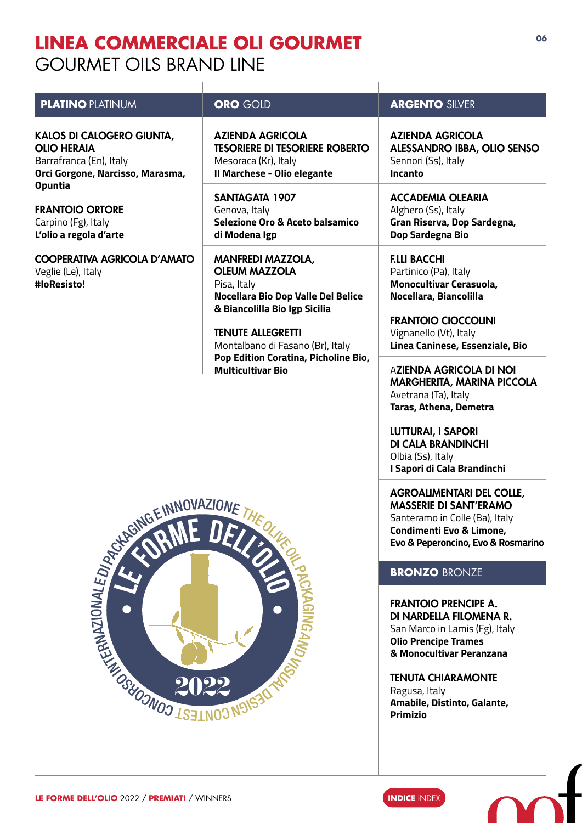### <span id="page-5-0"></span>**LINEA COMMERCIALE OLI GOURMET** GOURMET OILS BRAND LINE

| <b>ORO GOLD</b>                                                                                                         | <b>ARGENTO SILVER</b>                                                                                                                                                                                                                                                    |
|-------------------------------------------------------------------------------------------------------------------------|--------------------------------------------------------------------------------------------------------------------------------------------------------------------------------------------------------------------------------------------------------------------------|
| <b>AZIENDA AGRICOLA</b><br><b>TESORIERE DI TESORIERE ROBERTO</b><br>Mesoraca (Kr), Italy<br>Il Marchese - Olio elegante | <b>AZIENDA AGRICOLA</b><br><b>ALESSANDRO IBBA, OLIO SENSO</b><br>Sennori (Ss), Italy<br>Incanto                                                                                                                                                                          |
| <b>SANTAGATA 1907</b><br>Genova, Italy<br>Selezione Oro & Aceto balsamico<br>di Modena Igp                              | <b>ACCADEMIA OLEARIA</b><br>Alghero (Ss), Italy<br>Gran Riserva, Dop Sardegna,<br>Dop Sardegna Bio                                                                                                                                                                       |
| <b>MANFREDI MAZZOLA,</b><br><b>OLEUM MAZZOLA</b><br>Pisa, Italy<br>Nocellara Bio Dop Valle Del Belice                   | <b>F.LLI BACCHI</b><br>Partinico (Pa), Italy<br><b>Monocultivar Cerasuola,</b><br>Nocellara, Biancolilla                                                                                                                                                                 |
| & Biancolilla Bio Igp Sicilia<br><b>TENUTE ALLEGRETTI</b>                                                               | <b>FRANTOIO CIOCCOLINI</b><br>Vignanello (Vt), Italy<br>Linea Caninese, Essenziale, Bio                                                                                                                                                                                  |
| Pop Edition Coratina, Picholine Bio,<br><b>Multicultivar Bio</b>                                                        | <b>AZIENDA AGRICOLA DI NOI</b><br>MARGHERITA, MARINA PICCOLA<br>Avetrana (Ta), Italy<br>Taras, Athena, Demetra                                                                                                                                                           |
|                                                                                                                         |                                                                                                                                                                                                                                                                          |
|                                                                                                                         |                                                                                                                                                                                                                                                                          |
| <b>GINGAND</b>                                                                                                          |                                                                                                                                                                                                                                                                          |
|                                                                                                                         | <b>TENUTA CHIARAMONTE</b><br>Ragusa, Italy<br>Amabile, Distinto, Galante,<br><b>Primizio</b>                                                                                                                                                                             |
|                                                                                                                         | Montalbano di Fasano (Br), Italy<br><b>EINNOVAZIONE THEOREM CONDITARY CONDITARY OF THEOREM CONDITARY CONDITARY CONDITARY CONDITARY CONDITARY CONDITARY CONDITARY CONDITARY CONDITARY CONDITARY CONDITARY CONDITARY CONDITARY CONDITARY CONDITARY CONDITARY CONDITARY</b> |

**06**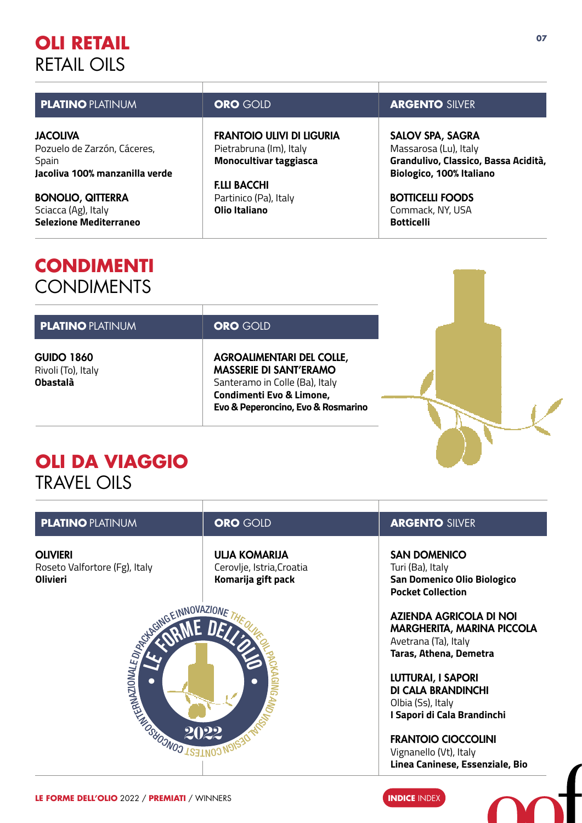### <span id="page-6-0"></span>**OLI RETAIL** RETAIL OILS

| <b>PLATINO PLATINUM</b>                        | <b>ORO GOLD</b>                                      | <b>ARGENTO SILVER</b>                            |
|------------------------------------------------|------------------------------------------------------|--------------------------------------------------|
| <b>JACOLIVA</b><br>Pozuelo de Zarzón, Cáceres, | FRANTOIO ULIVI DI LIGURIA<br>Pietrabruna (Im), Italy | <b>SALOV SPA, SAGRA</b><br>Massarosa (Lu), Italy |
| Spain                                          | <b>Monocultivar taggiasca</b>                        | Grandulivo, Classico, Bassa Acidità,             |
| Jacoliva 100% manzanilla verde                 | <b>F.LLI BACCHI</b>                                  | Biologico, 100% Italiano                         |
| <b>BONOLIO, QITTERRA</b>                       | Partinico (Pa), Italy                                | <b>BOTTICELLI FOODS</b>                          |
| Sciacca (Ag), Italy                            | Olio Italiano                                        | Commack, NY, USA                                 |
| <b>Selezione Mediterraneo</b>                  |                                                      | <b>Botticelli</b>                                |

### **CONDIMENTI CONDIMENTS**

| <b>PLATINO PLATINUM</b>                                    | <b>ORO GOLD</b>                                                                                                                                                       |  |
|------------------------------------------------------------|-----------------------------------------------------------------------------------------------------------------------------------------------------------------------|--|
| <b>GUIDO 1860</b><br>Rivoli (To), Italy<br><b>Obastalà</b> | <b>AGROALIMENTARI DEL COLLE,</b><br><b>MASSERIE DI SANT'ERAMO</b><br>Santeramo in Colle (Ba), Italy<br>Condimenti Evo & Limone,<br>Evo & Peperoncino, Evo & Rosmarino |  |

### **OLI DA VIAGGIO** TRAVEL OILS

| <b>PLATINO PLATINUM</b>                                                      | <b>ORO GOLD</b>                                                         | <b>ARGENTO SILVER</b>                                                                                                                                                                                                                                                                                                                 |
|------------------------------------------------------------------------------|-------------------------------------------------------------------------|---------------------------------------------------------------------------------------------------------------------------------------------------------------------------------------------------------------------------------------------------------------------------------------------------------------------------------------|
| <b>OLIVIERI</b><br>Roseto Valfortore (Fg), Italy<br><b>Olivieri</b>          | <b>ULJA KOMARIJA</b><br>Cerovlje, Istria, Croatia<br>Komarija gift pack | <b>SAN DOMENICO</b><br>Turi (Ba), Italy<br>San Domenico Olio Biologico<br><b>Pocket Collection</b>                                                                                                                                                                                                                                    |
| LAGNG EINNOVAZIO,<br><b>REAL PROPERTY AND SURVEY REAL PROPERTY AND ALSEM</b> | 2022                                                                    | <b>AZIENDA AGRICOLA DI NOI</b><br><b>MARGHERITA, MARINA PICCOLA</b><br>Avetrana (Ta), Italy<br><b>Taras, Athena, Demetra</b><br><b>LUTTURAI, I SAPORI</b><br><b>DI CALA BRANDINCHI</b><br>Olbia (Ss), Italy<br>I Sapori di Cala Brandinchi<br><b>FRANTOIO CIOCCOLINI</b><br>Vignanello (Vt), Italy<br>Linea Caninese, Essenziale, Bio |

ч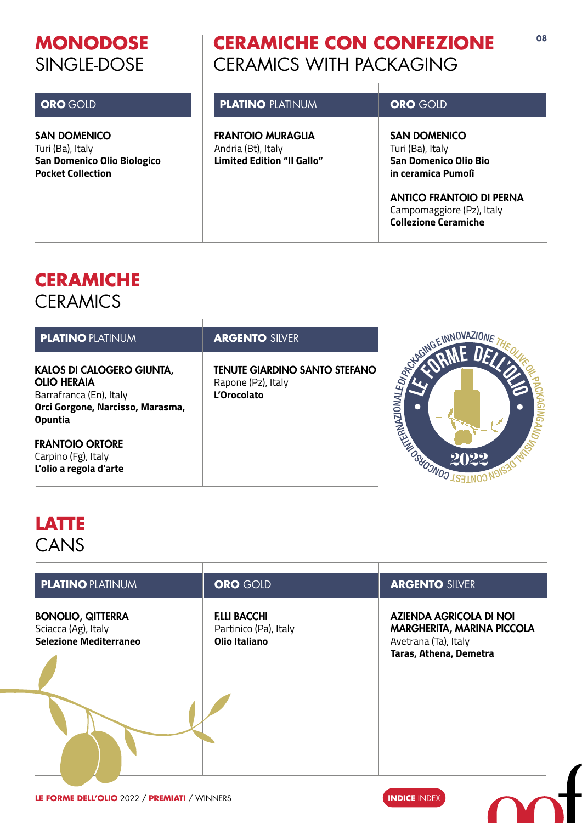### <span id="page-7-0"></span>**MONODOSE** SINGLE-DOSE

### **CERAMICHE CON CONFEZIONE** CERAMICS WITH PACKAGING

**08**

| <b>ORO</b> GOLD                                                                             | <b>PLATINO PLATINUM</b>                                                             | <b>ORO GOLD</b>                                                                                                                                                                              |
|---------------------------------------------------------------------------------------------|-------------------------------------------------------------------------------------|----------------------------------------------------------------------------------------------------------------------------------------------------------------------------------------------|
| SAN DOMENICO<br>Turi (Ba), Italy<br>San Domenico Olio Biologico<br><b>Pocket Collection</b> | <b>FRANTOIO MURAGLIA</b><br>Andria (Bt), Italy<br><b>Limited Edition "Il Gallo"</b> | <b>SAN DOMENICO</b><br>Turi (Ba), Italy<br><b>San Domenico Olio Bio</b><br>in ceramica Pumoli<br><b>ANTICO FRANTOIO DI PERNA</b><br>Campomaggiore (Pz), Italy<br><b>Collezione Ceramiche</b> |

### **CERAMICHE CERAMICS**

| <b>PLATINO PLATINUM</b>                                                                                                                 | <b>ARGENTO SILVER</b>                                                     |                                    |
|-----------------------------------------------------------------------------------------------------------------------------------------|---------------------------------------------------------------------------|------------------------------------|
| <b>KALOS DI CALOGERO GIUNTA,</b><br><b>OLIO HERAIA</b><br>Barrafranca (En), Italy<br>Orci Gorgone, Narcisso, Marasma,<br><b>Opuntia</b> | <b>TENUTE GIARDINO SANTO STEFANO</b><br>Rapone (Pz), Italy<br>L'Orocolato |                                    |
| <b>FRANTOIO ORTORE</b><br>Carpino (Fg), Italy<br>L'olio a regola d'arte                                                                 |                                                                           | <b>MODELATION OSHOONOO</b><br>2022 |

### **LATTE CANS**

| <b>PLATINO PLATINUM</b>                                                          | <b>ORO GOLD</b>                                                      | <b>ARGENTO SILVER</b>                                                                                                 |
|----------------------------------------------------------------------------------|----------------------------------------------------------------------|-----------------------------------------------------------------------------------------------------------------------|
| <b>BONOLIO, QITTERRA</b><br>Sciacca (Ag), Italy<br><b>Selezione Mediterraneo</b> | <b>F.LLI BACCHI</b><br>Partinico (Pa), Italy<br><b>Olio Italiano</b> | <b>AZIENDA AGRICOLA DI NOI</b><br><b>MARGHERITA, MARINA PICCOLA</b><br>Avetrana (Ta), Italy<br>Taras, Athena, Demetra |

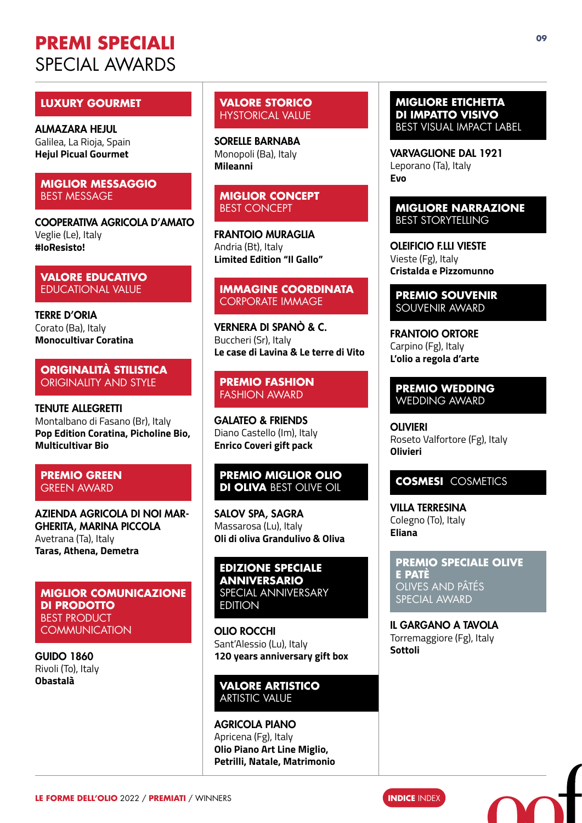### <span id="page-8-0"></span>**PREMI SPECIALI** SPECIAL AWARDS

#### **LUXURY GOURMET**

ALMAZARA HEJUL Galilea, La Rioja, Spain **Hejul Picual Gourmet**

#### **MIGLIOR MESSAGGIO** BEST MESSAGE

COOPERATIVA AGRICOLA D'AMATO Veglie (Le), Italy **#IoResisto!**

#### **VALORE EDUCATIVO** EDUCATIONAL VALUE

TERRE D'ORIA Corato (Ba), Italy **Monocultivar Coratina**

#### **ORIGINALITÀ STILISTICA** ORIGINALITY AND STYLE

TENUTE ALLEGRETTI Montalbano di Fasano (Br), Italy **Pop Edition Coratina, Picholine Bio, Multicultivar Bio**

#### **PREMIO GREEN** GREEN AWARD

AZIENDA AGRICOLA DI NOI MAR-GHERITA, MARINA PICCOLA Avetrana (Ta), Italy **Taras, Athena, Demetra**

#### **MIGLIOR COMUNICAZIONE DI PRODOTTO** BEST PRODUCT **COMMUNICATION**

GUIDO 1860 Rivoli (To), Italy **Obastalà**

**VALORE STORICO** HYSTORICAL VALUE

SORELLE BARNABA Monopoli (Ba), Italy **Mileanni**

#### **MIGLIOR CONCEPT** BEST CONCEPT

FRANTOIO MURAGLIA Andria (Bt), Italy **Limited Edition "Il Gallo"**

#### **IMMAGINE COORDINATA** CORPORATE IMMAGE

VERNERA DI SPANÒ & C. Buccheri (Sr), Italy **Le case di Lavina & Le terre di Vito** 

#### **PREMIO FASHION** FASHION AWARD

GALATEO & FRIENDS Diano Castello (Im), Italy **Enrico Coveri gift pack**

#### **PREMIO MIGLIOR OLIO DI OLIVA** BEST OLIVE OIL

SALOV SPA, SAGRA Massarosa (Lu), Italy **Oli di oliva Grandulivo & Oliva**

**EDIZIONE SPECIALE ANNIVERSARIO** SPECIAL ANNIVERSARY EDITION

OLIO ROCCHI Sant'Alessio (Lu), Italy **120 years anniversary gift box**

#### **VALORE ARTISTICO** ARTISTIC VALUE

AGRICOLA PIANO Apricena (Fg), Italy **Olio Piano Art Line Miglio, Petrilli, Natale, Matrimonio**

#### **MIGLIORE ETICHETTA DI IMPATTO VISIVO**  BEST VISUAL IMPACT LABEL

VARVAGLIONE DAL 1921 Leporano (Ta), Italy **Evo**

#### **MIGLIORE NARRAZIONE** BEST STORYTELLING

OLEIFICIO F.LLI VIESTE Vieste (Fg), Italy **Cristalda e Pizzomunno**

**PREMIO SOUVENIR**  SOUVENIR AWARD

FRANTOIO ORTORE Carpino (Fg), Italy **L'olio a regola d'arte**

**PREMIO WEDDING** WEDDING AWARD

**OLIVIERI** Roseto Valfortore (Fg), Italy **Olivieri**

#### **COSMESI** COSMETICS

VILLA TERRESINA Colegno (To), Italy **Eliana**

**PREMIO SPECIALE OLIVE E PATÈ**  OLIVES AND PÂTÉS SPECIAL AWARD

IL GARGANO A TAVOLA Torremaggiore (Fg), Italy **Sottoli**

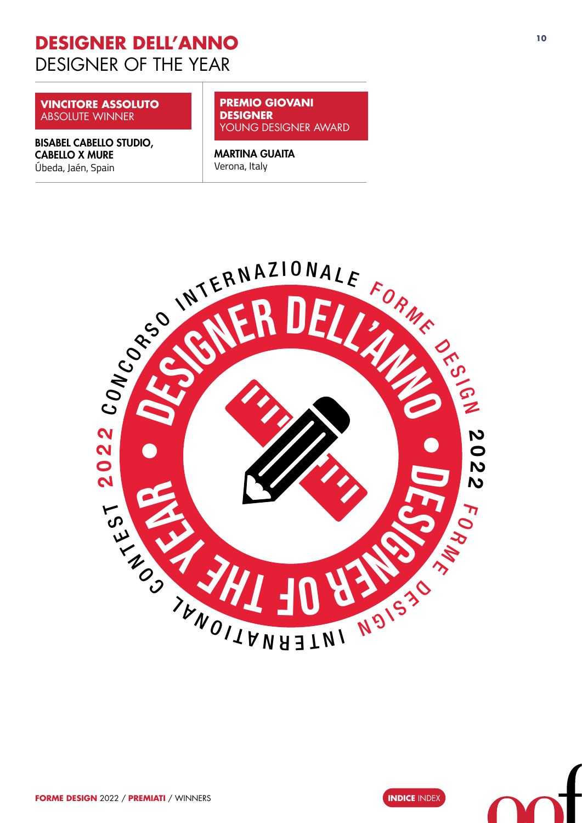### <span id="page-9-0"></span>**<sup>10</sup> DESIGNER DELL'ANNO**  DESIGNER OF THE YEAR

**VINCITORE ASSOLUTO** ABSOLUTE WINNER

BISABEL CABELLO STUDIO, CABELLO X MURE Úbeda, Jaén, Spain

**PREMIO GIOVANI DESIGNER**  YOUNG DESIGNER AWARD

MARTINA GUAITA Verona, Italy



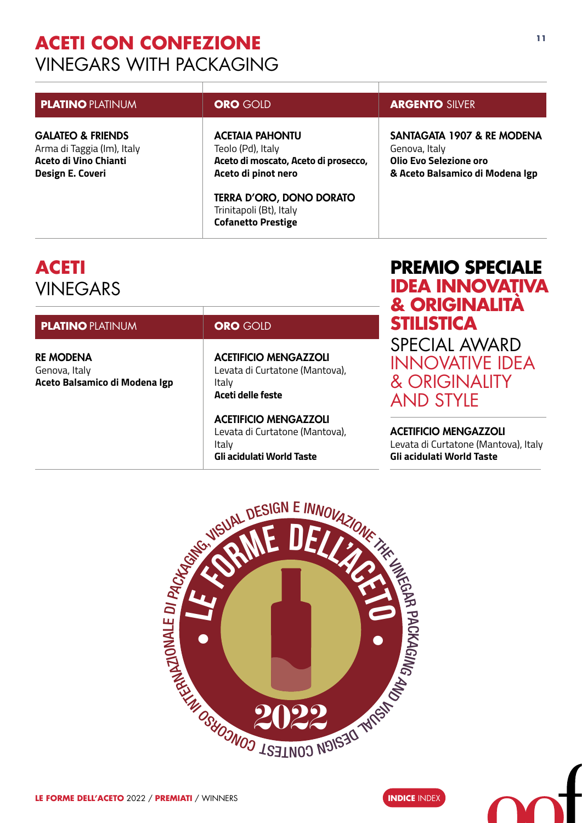### <span id="page-10-0"></span>**<sup>11</sup> ACETI CON CONFEZIONE**  VINEGARS WITH PACKAGING

| <b>ORO GOLD</b>                                                                                                                                                          | <b>ARGENTO SILVER</b>                                                                                    |
|--------------------------------------------------------------------------------------------------------------------------------------------------------------------------|----------------------------------------------------------------------------------------------------------|
| <b>ACETAIA PAHONTU</b><br>Teolo (Pd), Italy<br>Aceto di moscato, Aceto di prosecco,<br>Aceto di pinot nero<br><b>TERRA D'ORO, DONO DORATO</b><br>Trinitapoli (Bt), Italy | SANTAGATA 1907 & RE MODENA<br>Genova, Italy<br>Olio Evo Selezione oro<br>& Aceto Balsamico di Modena Igp |
|                                                                                                                                                                          | <b>Cofanetto Prestige</b>                                                                                |

### **ACETI** VINEGARS

| <b>PLATINO PLATINUM</b>                                            | <b>ORO</b> GOLD                                                                              |  |
|--------------------------------------------------------------------|----------------------------------------------------------------------------------------------|--|
| <b>RE MODENA</b><br>Genova, Italy<br>Aceto Balsamico di Modena Igp | <b>ACETIFICIO MENGAZZOLI</b><br>Levata di Curtatone (Mantova),<br>Italy<br>Aceti delle feste |  |
|                                                                    | <b>ACETIFICIO MENGAZZOLI</b><br>$l$ output diffusion $l$ Montoup                             |  |

Levata di Curtatone (Mantova), Italy **Gli acidulati World Taste**

### **PREMIO SPECIALE IDEA INNOVATIVA & ORIGINALITÀ STILISTICA** SPECIAL AWARD **NNOVATIVE IDEA** & ORIGINALITY AND STYLE

ACETIFICIO MENGAZZOLI Levata di Curtatone (Mantova), Italy **Gli acidulati World Taste**